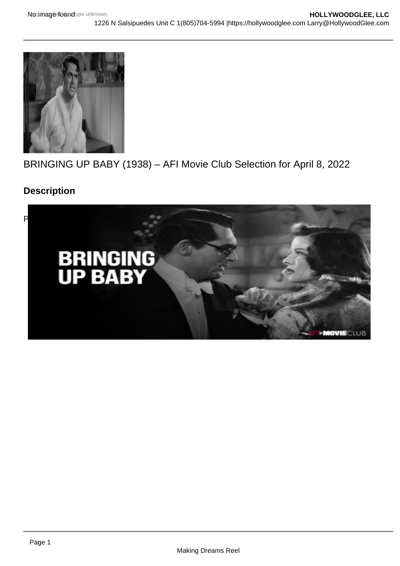# BRINGING UP BABY (1938) – AFI Movie Club Selection for April 8, 2022

Description

[Posted by Larry Gleeson](https://i0.wp.com/hollywoodglee.com/wp-content/uploads/2022/04/Screen-Shot-2022-04-09-at-1.12.50-AM.png?ssl=1)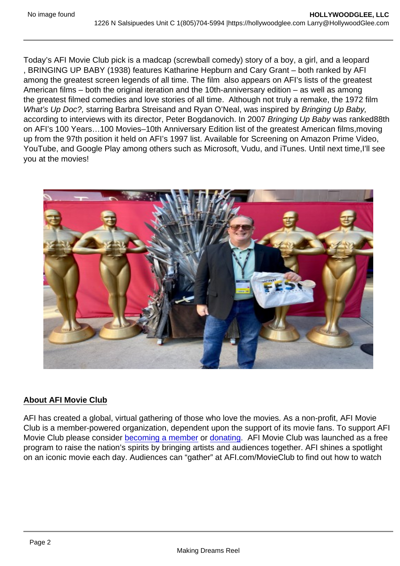Today's AFI Movie Club pick is a madcap (screwball comedy) story of a boy, a girl, and a leopard , BRINGING UP BABY (1938) features Katharine Hepburn and Cary Grant – both ranked by AFI among the greatest screen legends of all time. The film also appears on AFI's lists of the greatest American films – both the original iteration and the 10th-anniversary edition – as well as among the greatest filmed comedies and love stories of all time. Although not truly a remake, the 1972 film What's Up Doc?, starring Barbra Streisand and Ryan O'Neal, was inspired by Bringing Up Baby, according to interviews with its director, Peter Bogdanovich. In 2007 Bringing Up Baby was ranked88th on AFI's 100 Years…100 Movies–10th Anniversary Edition list of the greatest American films,moving up from the 97th position it held on AFI's 1997 list. Available for Screening on Amazon Prime Video, YouTube, and Google Play among others such as Microsoft, Vudu, and iTunes. Until next time,I'll see you at the movies!

## About AFI Movie Club

AFI has created a global, virtual gathering of those who love the movies. As a non-profit, AFI Movie Club is a member-powered organization, dependent upon the support of its movie fans. To support AFI Movie Club please consider [becoming a member](https://www.afi.com/support/?Op=join) or [donating](https://www.afi.com/support/?Op=donate). AFI Movie Club was launched as a free program to raise the nation's spirits by bringing artists and audiences together. AFI shines a spotlight on an iconic movie each day. Audiences can "gather" at AFI.com/MovieClub to find out how to watch